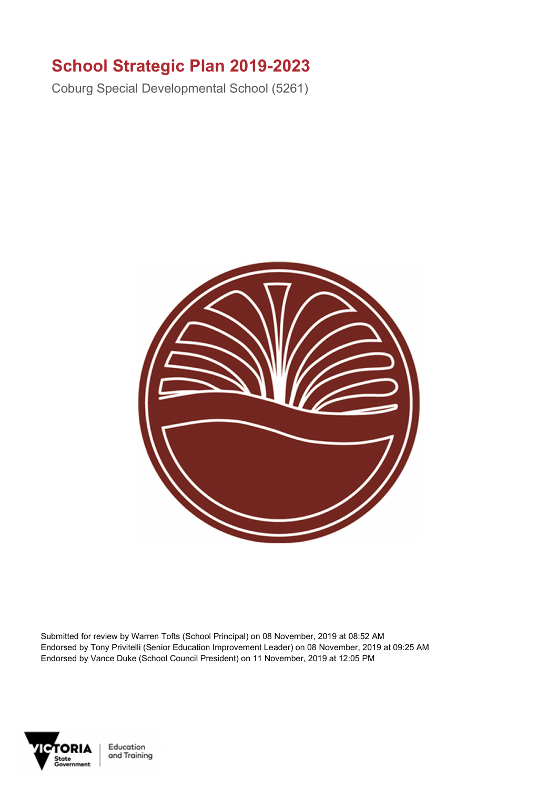## School Strategic Plan 2019-2023

Coburg Special Developmental School (5261)



Submitted for review by Warren Tofts (School Principal) on 08 November, 2019 at 08:52 AM Endorsed by Tony Privitelli (Senior Education Improvement Leader) on 08 November, 2019 at 09:25 AM Endorsed by Vance Duke (School Council President) on 11 November, 2019 at 12:05 PM



Education and Training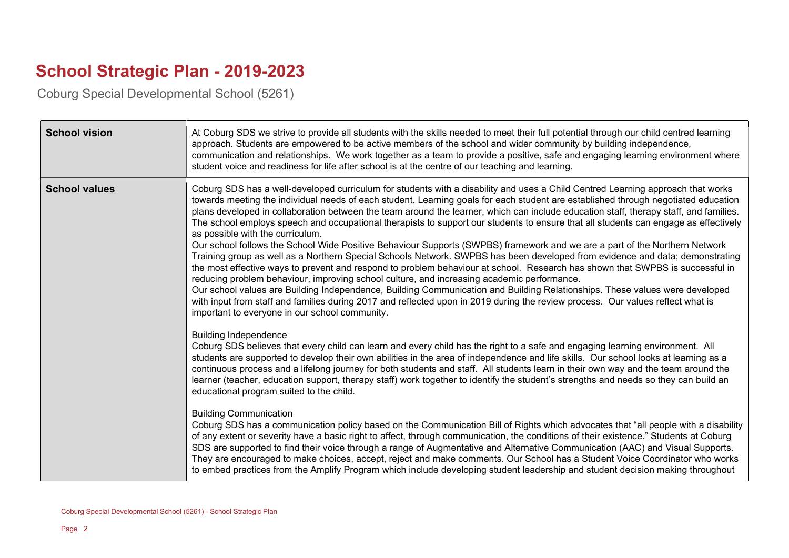## School Strategic Plan - 2019-2023

Coburg Special Developmental School (5261)

| <b>School vision</b> | At Coburg SDS we strive to provide all students with the skills needed to meet their full potential through our child centred learning<br>approach. Students are empowered to be active members of the school and wider community by building independence,<br>communication and relationships. We work together as a team to provide a positive, safe and engaging learning environment where<br>student voice and readiness for life after school is at the centre of our teaching and learning.                                                                                                                                                                                                                                                                                                                                                                                                                                                                                                                                                                                                                                                                                                                                                                                                                                                                                                         |
|----------------------|------------------------------------------------------------------------------------------------------------------------------------------------------------------------------------------------------------------------------------------------------------------------------------------------------------------------------------------------------------------------------------------------------------------------------------------------------------------------------------------------------------------------------------------------------------------------------------------------------------------------------------------------------------------------------------------------------------------------------------------------------------------------------------------------------------------------------------------------------------------------------------------------------------------------------------------------------------------------------------------------------------------------------------------------------------------------------------------------------------------------------------------------------------------------------------------------------------------------------------------------------------------------------------------------------------------------------------------------------------------------------------------------------------|
| <b>School values</b> | Coburg SDS has a well-developed curriculum for students with a disability and uses a Child Centred Learning approach that works<br>towards meeting the individual needs of each student. Learning goals for each student are established through negotiated education<br>plans developed in collaboration between the team around the learner, which can include education staff, therapy staff, and families.<br>The school employs speech and occupational therapists to support our students to ensure that all students can engage as effectively<br>as possible with the curriculum.<br>Our school follows the School Wide Positive Behaviour Supports (SWPBS) framework and we are a part of the Northern Network<br>Training group as well as a Northern Special Schools Network. SWPBS has been developed from evidence and data; demonstrating<br>the most effective ways to prevent and respond to problem behaviour at school. Research has shown that SWPBS is successful in<br>reducing problem behaviour, improving school culture, and increasing academic performance.<br>Our school values are Building Independence, Building Communication and Building Relationships. These values were developed<br>with input from staff and families during 2017 and reflected upon in 2019 during the review process. Our values reflect what is<br>important to everyone in our school community. |
|                      | <b>Building Independence</b><br>Coburg SDS believes that every child can learn and every child has the right to a safe and engaging learning environment. All<br>students are supported to develop their own abilities in the area of independence and life skills. Our school looks at learning as a<br>continuous process and a lifelong journey for both students and staff. All students learn in their own way and the team around the<br>learner (teacher, education support, therapy staff) work together to identify the student's strengths and needs so they can build an<br>educational program suited to the child.<br><b>Building Communication</b><br>Coburg SDS has a communication policy based on the Communication Bill of Rights which advocates that "all people with a disability<br>of any extent or severity have a basic right to affect, through communication, the conditions of their existence." Students at Coburg<br>SDS are supported to find their voice through a range of Augmentative and Alternative Communication (AAC) and Visual Supports.<br>They are encouraged to make choices, accept, reject and make comments. Our School has a Student Voice Coordinator who works<br>to embed practices from the Amplify Program which include developing student leadership and student decision making throughout                                                         |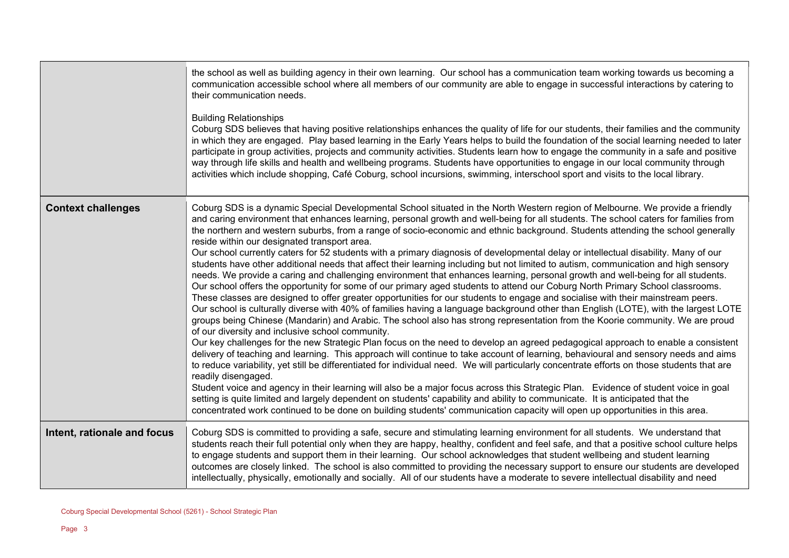|                             | the school as well as building agency in their own learning. Our school has a communication team working towards us becoming a<br>communication accessible school where all members of our community are able to engage in successful interactions by catering to<br>their communication needs.                                                                                                                                                                                                                                                                                                                                                                                                                                                                                                                                                                                                                                                                                                                                                                                                                                                                                                                                                                                                                                                                                                                                                                                                                                                                                                                                                                                                                                                                                                                                                                                                                                                                                                                                                                                                                                                                                                                                                                                                                                  |
|-----------------------------|----------------------------------------------------------------------------------------------------------------------------------------------------------------------------------------------------------------------------------------------------------------------------------------------------------------------------------------------------------------------------------------------------------------------------------------------------------------------------------------------------------------------------------------------------------------------------------------------------------------------------------------------------------------------------------------------------------------------------------------------------------------------------------------------------------------------------------------------------------------------------------------------------------------------------------------------------------------------------------------------------------------------------------------------------------------------------------------------------------------------------------------------------------------------------------------------------------------------------------------------------------------------------------------------------------------------------------------------------------------------------------------------------------------------------------------------------------------------------------------------------------------------------------------------------------------------------------------------------------------------------------------------------------------------------------------------------------------------------------------------------------------------------------------------------------------------------------------------------------------------------------------------------------------------------------------------------------------------------------------------------------------------------------------------------------------------------------------------------------------------------------------------------------------------------------------------------------------------------------------------------------------------------------------------------------------------------------|
|                             | <b>Building Relationships</b><br>Coburg SDS believes that having positive relationships enhances the quality of life for our students, their families and the community<br>in which they are engaged. Play based learning in the Early Years helps to build the foundation of the social learning needed to later<br>participate in group activities, projects and community activities. Students learn how to engage the community in a safe and positive<br>way through life skills and health and wellbeing programs. Students have opportunities to engage in our local community through<br>activities which include shopping, Café Coburg, school incursions, swimming, interschool sport and visits to the local library.                                                                                                                                                                                                                                                                                                                                                                                                                                                                                                                                                                                                                                                                                                                                                                                                                                                                                                                                                                                                                                                                                                                                                                                                                                                                                                                                                                                                                                                                                                                                                                                                 |
| <b>Context challenges</b>   | Coburg SDS is a dynamic Special Developmental School situated in the North Western region of Melbourne. We provide a friendly<br>and caring environment that enhances learning, personal growth and well-being for all students. The school caters for families from<br>the northern and western suburbs, from a range of socio-economic and ethnic background. Students attending the school generally<br>reside within our designated transport area.<br>Our school currently caters for 52 students with a primary diagnosis of developmental delay or intellectual disability. Many of our<br>students have other additional needs that affect their learning including but not limited to autism, communication and high sensory<br>needs. We provide a caring and challenging environment that enhances learning, personal growth and well-being for all students.<br>Our school offers the opportunity for some of our primary aged students to attend our Coburg North Primary School classrooms.<br>These classes are designed to offer greater opportunities for our students to engage and socialise with their mainstream peers.<br>Our school is culturally diverse with 40% of families having a language background other than English (LOTE), with the largest LOTE<br>groups being Chinese (Mandarin) and Arabic. The school also has strong representation from the Koorie community. We are proud<br>of our diversity and inclusive school community.<br>Our key challenges for the new Strategic Plan focus on the need to develop an agreed pedagogical approach to enable a consistent<br>delivery of teaching and learning. This approach will continue to take account of learning, behavioural and sensory needs and aims<br>to reduce variability, yet still be differentiated for individual need. We will particularly concentrate efforts on those students that are<br>readily disengaged.<br>Student voice and agency in their learning will also be a major focus across this Strategic Plan. Evidence of student voice in goal<br>setting is quite limited and largely dependent on students' capability and ability to communicate. It is anticipated that the<br>concentrated work continued to be done on building students' communication capacity will open up opportunities in this area. |
| Intent, rationale and focus | Coburg SDS is committed to providing a safe, secure and stimulating learning environment for all students. We understand that<br>students reach their full potential only when they are happy, healthy, confident and feel safe, and that a positive school culture helps<br>to engage students and support them in their learning. Our school acknowledges that student wellbeing and student learning<br>outcomes are closely linked. The school is also committed to providing the necessary support to ensure our students are developed<br>intellectually, physically, emotionally and socially. All of our students have a moderate to severe intellectual disability and need                                                                                                                                                                                                                                                                                                                                                                                                                                                                                                                                                                                                                                                                                                                                                                                                                                                                                                                                                                                                                                                                                                                                                                                                                                                                                                                                                                                                                                                                                                                                                                                                                                             |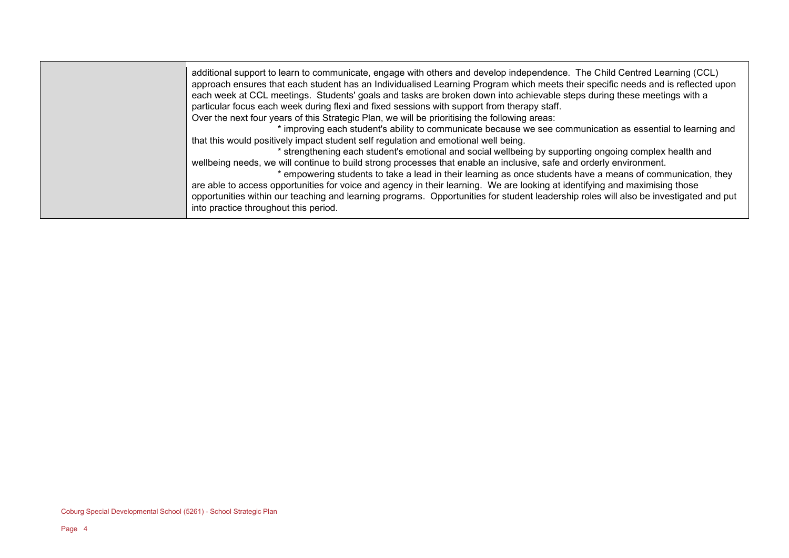| additional support to learn to communicate, engage with others and develop independence. The Child Centred Learning (CCL)<br>approach ensures that each student has an Individualised Learning Program which meets their specific needs and is reflected upon<br>each week at CCL meetings. Students' goals and tasks are broken down into achievable steps during these meetings with a<br>particular focus each week during flexi and fixed sessions with support from therapy staff.<br>Over the next four years of this Strategic Plan, we will be prioritising the following areas:<br>* improving each student's ability to communicate because we see communication as essential to learning and<br>that this would positively impact student self regulation and emotional well being.<br>* strengthening each student's emotional and social wellbeing by supporting ongoing complex health and<br>wellbeing needs, we will continue to build strong processes that enable an inclusive, safe and orderly environment.<br>* empowering students to take a lead in their learning as once students have a means of communication, they<br>are able to access opportunities for voice and agency in their learning. We are looking at identifying and maximising those<br>opportunities within our teaching and learning programs. Opportunities for student leadership roles will also be investigated and put<br>into practice throughout this period. |  |
|-----------------------------------------------------------------------------------------------------------------------------------------------------------------------------------------------------------------------------------------------------------------------------------------------------------------------------------------------------------------------------------------------------------------------------------------------------------------------------------------------------------------------------------------------------------------------------------------------------------------------------------------------------------------------------------------------------------------------------------------------------------------------------------------------------------------------------------------------------------------------------------------------------------------------------------------------------------------------------------------------------------------------------------------------------------------------------------------------------------------------------------------------------------------------------------------------------------------------------------------------------------------------------------------------------------------------------------------------------------------------------------------------------------------------------------------------------------------|--|
|-----------------------------------------------------------------------------------------------------------------------------------------------------------------------------------------------------------------------------------------------------------------------------------------------------------------------------------------------------------------------------------------------------------------------------------------------------------------------------------------------------------------------------------------------------------------------------------------------------------------------------------------------------------------------------------------------------------------------------------------------------------------------------------------------------------------------------------------------------------------------------------------------------------------------------------------------------------------------------------------------------------------------------------------------------------------------------------------------------------------------------------------------------------------------------------------------------------------------------------------------------------------------------------------------------------------------------------------------------------------------------------------------------------------------------------------------------------------|--|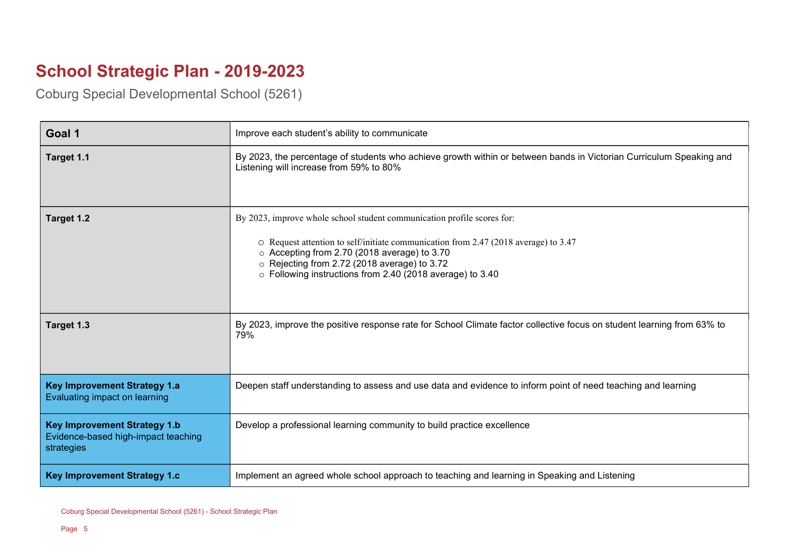## School Strategic Plan - 2019-2023

Coburg Special Developmental School (5261)

| Goal 1                                                                                   | Improve each student's ability to communicate                                                                                                                                                                                                                                                                               |
|------------------------------------------------------------------------------------------|-----------------------------------------------------------------------------------------------------------------------------------------------------------------------------------------------------------------------------------------------------------------------------------------------------------------------------|
| Target 1.1                                                                               | By 2023, the percentage of students who achieve growth within or between bands in Victorian Curriculum Speaking and<br>Listening will increase from 59% to 80%                                                                                                                                                              |
| Target 1.2                                                                               | By 2023, improve whole school student communication profile scores for:<br>O Request attention to self/initiate communication from 2.47 (2018 average) to 3.47<br>○ Accepting from 2.70 (2018 average) to 3.70<br>○ Rejecting from 2.72 (2018 average) to 3.72<br>○ Following instructions from 2.40 (2018 average) to 3.40 |
| Target 1.3                                                                               | By 2023, improve the positive response rate for School Climate factor collective focus on student learning from 63% to<br>79%                                                                                                                                                                                               |
| <b>Key Improvement Strategy 1.a</b><br>Evaluating impact on learning                     | Deepen staff understanding to assess and use data and evidence to inform point of need teaching and learning                                                                                                                                                                                                                |
| <b>Key Improvement Strategy 1.b</b><br>Evidence-based high-impact teaching<br>strategies | Develop a professional learning community to build practice excellence                                                                                                                                                                                                                                                      |
| <b>Key Improvement Strategy 1.c</b>                                                      | Implement an agreed whole school approach to teaching and learning in Speaking and Listening                                                                                                                                                                                                                                |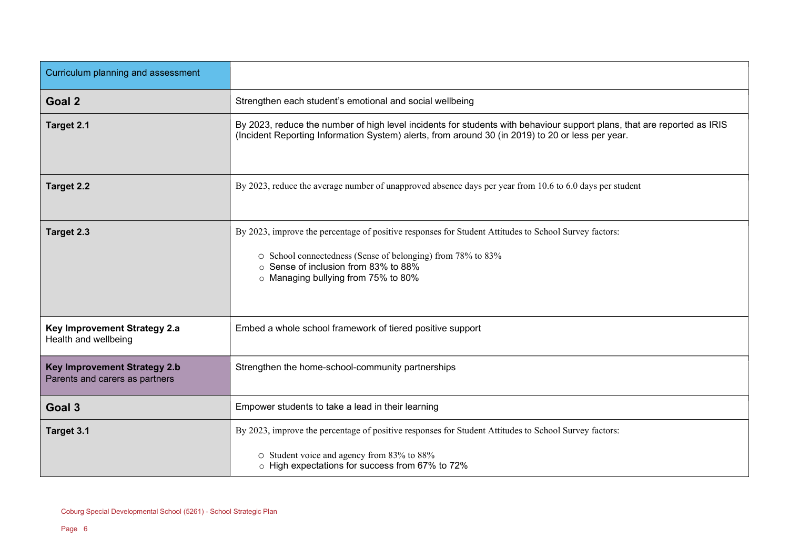| Curriculum planning and assessment                                    |                                                                                                                                                                                                                                                   |
|-----------------------------------------------------------------------|---------------------------------------------------------------------------------------------------------------------------------------------------------------------------------------------------------------------------------------------------|
| Goal 2                                                                | Strengthen each student's emotional and social wellbeing                                                                                                                                                                                          |
| Target 2.1                                                            | By 2023, reduce the number of high level incidents for students with behaviour support plans, that are reported as IRIS<br>(Incident Reporting Information System) alerts, from around 30 (in 2019) to 20 or less per year.                       |
| Target 2.2                                                            | By 2023, reduce the average number of unapproved absence days per year from 10.6 to 6.0 days per student                                                                                                                                          |
| Target 2.3                                                            | By 2023, improve the percentage of positive responses for Student Attitudes to School Survey factors:<br>○ School connectedness (Sense of belonging) from 78% to 83%<br>Sense of inclusion from 83% to 88%<br>o Managing bullying from 75% to 80% |
| Key Improvement Strategy 2.a<br>Health and wellbeing                  | Embed a whole school framework of tiered positive support                                                                                                                                                                                         |
| <b>Key Improvement Strategy 2.b</b><br>Parents and carers as partners | Strengthen the home-school-community partnerships                                                                                                                                                                                                 |
| Goal 3                                                                | Empower students to take a lead in their learning                                                                                                                                                                                                 |
| Target 3.1                                                            | By 2023, improve the percentage of positive responses for Student Attitudes to School Survey factors:                                                                                                                                             |
|                                                                       | O Student voice and agency from 83% to 88%<br>o High expectations for success from 67% to 72%                                                                                                                                                     |